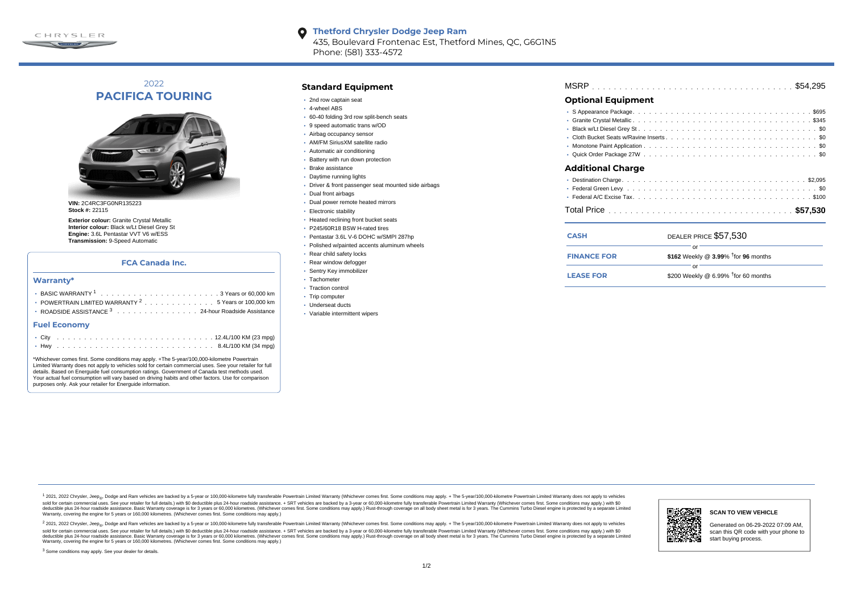

## **Thetford Chrysler Dodge Jeep Ram** 435, Boulevard Frontenac Est, Thetford Mines, QC, G6G1N5 Phone: (581) 333-4572

2022 **PACIFICA TOURING**



**VIN:** 2C4RC3FG0NR135223 **Stock #:** 22115

**Exterior colour:** Granite Crystal Metallic **Interior colour:** Black w/Lt Diesel Grey St **Engine:** 3.6L Pentastar VVT V6 w/ESS **Transmission:** 9-Speed Automatic

## **FCA Canada Inc.**

#### **Warranty\***

| $(0, 1)$ $(0, 0)$ $(0, 1)$ $(0, 0)$ $(0, 0)$<br>$\sim$           |
|------------------------------------------------------------------|
| <b>Fuel Economy</b>                                              |
| <b>• ROADSIDE ASSISTANCE 3</b> 24-hour Roadside Assistance       |
| • POWERTRAIN LIMITED WARRANTY <sup>2</sup> 5 Years or 100,000 km |
|                                                                  |
|                                                                  |

\*Whichever comes first. Some conditions may apply. +The 5-year/100,000-kilometre Powertrain Limited Warranty does not apply to vehicles sold for certain commercial uses. See your retailer for full details. Based on Energuide fuel consumption ratings. Government of Canada test methods used. Your actual fuel consumption will vary based on driving habits and other factors. Use for comparison purposes only. Ask your retailer for Energuide information.

## **Standard Equipment**

- 2nd row captain seat
- 4-wheel ABS
- 60-40 folding 3rd row split-bench seats
- 9 speed automatic trans w/OD
- Airbag occupancy sensor
- AM/FM SiriusXM satellite radio
- Automatic air conditioning
- Battery with run down protection
- Brake assistance
- Daytime running lights
- Driver & front passenger seat mounted side airbags
- Dual front airbags
- Dual power remote heated mirrors
- Electronic stability
- Heated reclining front bucket seats
- P245/60R18 BSW H-rated tires
- Pentastar 3.6L V-6 DOHC w/SMPI 287hp
- Polished w/painted accents aluminum wheels
- Rear child safety locks
- Rear window defogger
- Sentry Key immobilizer
- · Tachometer
- Traction control
- Trip computer
- Underseat ducts
- Variable intermittent wipers

## **Optional Equipment**

| <b>Additional Charge</b> |  |  |  |  |  |  |  |  |  |
|--------------------------|--|--|--|--|--|--|--|--|--|
|                          |  |  |  |  |  |  |  |  |  |
|                          |  |  |  |  |  |  |  |  |  |
|                          |  |  |  |  |  |  |  |  |  |
|                          |  |  |  |  |  |  |  |  |  |
|                          |  |  |  |  |  |  |  |  |  |
|                          |  |  |  |  |  |  |  |  |  |

| <b>CASH</b>        | DEALER PRICE \$57,530                              |  |  |  |  |  |  |  |  |  |  |
|--------------------|----------------------------------------------------|--|--|--|--|--|--|--|--|--|--|
| <b>FINANCE FOR</b> | \$162 Weekly @ $3.99\%$ <sup>†</sup> for 96 months |  |  |  |  |  |  |  |  |  |  |
|                    |                                                    |  |  |  |  |  |  |  |  |  |  |
| <b>LEASE FOR</b>   | \$200 Weekly @ 6.99% $†$ for 60 months             |  |  |  |  |  |  |  |  |  |  |

1 2021, 2022 Chrysler, Jeep.... Dodge and Ram vehicles are backed by a 5-year or 100,000-kilometre fully transferable Powertrain Limited Warranty (Whichever comes first. Some conditions may apply. + The 5-year/100,000-kilo sold for certain commercial uses. See your retailer for full details) with \$0 deductible plus 24-hour madside assistance. + SRT vehicles are backed by a 3-year or 60.000-kilometre fully transferable Powertrain Limited Warr detuctible plus 24-hour roadside assistance. Basic Warranty coverage is for 3 years or 60,000 kilometres. Whichever comes first. Some conditions may apply.) Rust-through coverage on all body sheet metals for 3 years. The C Warranty, covering the engine for 5 years or 160,000 kilometres. (Whichever comes first. Some conditions may apply.)

<sup>2</sup> 2021, 2022 Chrysler, Jeep<sub>®</sub>, Dodge and Ram vehicles are backed by a 5-year or 100,000-kilometre fully transferable Powertrain Limited Warranty (Whichever comes first. Some conditions may apply. + The 5-year/100,000-ki sold for certain commercial uses. See your retailer for full details.) with \$0 deductible plus 24-hour roadside assistance. + SRT vehicles are backed by a 3-year or 60.000-kilometre fully transferable Powertrain Limited Wa deductible plus 24-hour roadside assistance. Basic Warranty coverage is for 3 years or 60,000 kilometres. (Whichever comes first. Some conditions may apply.) Rust-through coverage on all body sheet metal is for 3 years. Th



### **SCAN TO VIEW VEHICLE**

Generated on 06-29-2022 07:09 AM, scan this QR code with your phone to start buying process.

<sup>3</sup> Some conditions may apply. See your dealer for details.